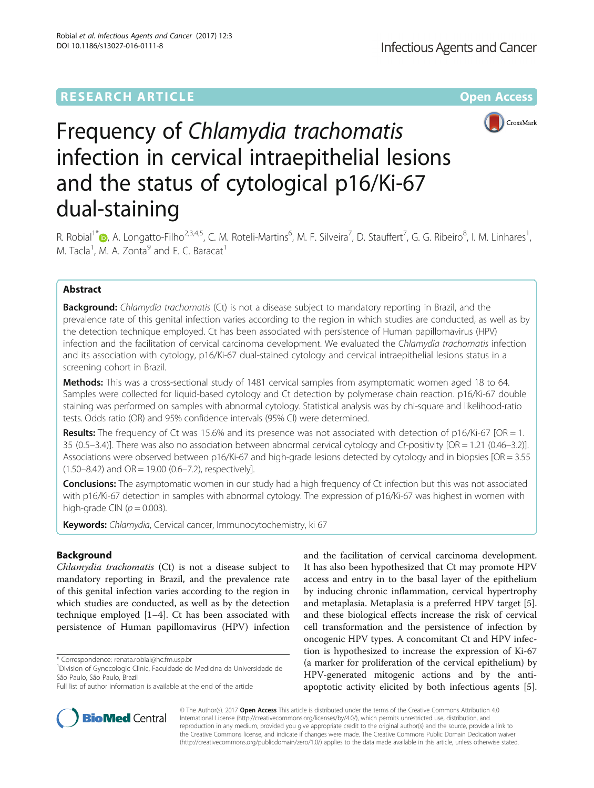# **RESEARCH ARTICLE Example 2014 12:30 The Contract of Contract ACCESS**



# Frequency of Chlamydia trachomatis infection in cervical intraepithelial lesions and the status of cytological p16/Ki-67 dual-staining

R. Robial<sup>1\*</sup>®[,](http://orcid.org/0000-0002-5108-924X) A. Longatto-Filho<sup>2,3,4,5</sup>, C. M. Roteli-Martins<sup>6</sup>, M. F. Silveira<sup>7</sup>, D. Stauffert<sup>7</sup>, G. G. Ribeiro<sup>8</sup>, I. M. Linhares<sup>1</sup> , M. Tacla<sup>1</sup>, M. A. Zonta<sup>9</sup> and E. C. Baracat<sup>1</sup>

# Abstract

Background: Chlamydia trachomatis (Ct) is not a disease subject to mandatory reporting in Brazil, and the prevalence rate of this genital infection varies according to the region in which studies are conducted, as well as by the detection technique employed. Ct has been associated with persistence of Human papillomavirus (HPV) infection and the facilitation of cervical carcinoma development. We evaluated the Chlamydia trachomatis infection and its association with cytology, p16/Ki-67 dual-stained cytology and cervical intraepithelial lesions status in a screening cohort in Brazil.

Methods: This was a cross-sectional study of 1481 cervical samples from asymptomatic women aged 18 to 64. Samples were collected for liquid-based cytology and Ct detection by polymerase chain reaction. p16/Ki-67 double staining was performed on samples with abnormal cytology. Statistical analysis was by chi-square and likelihood-ratio tests. Odds ratio (OR) and 95% confidence intervals (95% CI) were determined.

**Results:** The frequency of Ct was 15.6% and its presence was not associated with detection of p16/Ki-67 [OR = 1. 35 (0.5–3.4)]. There was also no association between abnormal cervical cytology and Ct-positivity [OR = 1.21 (0.46–3.2)]. Associations were observed between p16/Ki-67 and high-grade lesions detected by cytology and in biopsies [OR = 3.55  $(1.50-8.42)$  and  $OR = 19.00$   $(0.6-7.2)$ , respectively].

**Conclusions:** The asymptomatic women in our study had a high frequency of Ct infection but this was not associated with p16/Ki-67 detection in samples with abnormal cytology. The expression of p16/Ki-67 was highest in women with high-grade CIN ( $p = 0.003$ ).

Keywords: Chlamydia, Cervical cancer, Immunocytochemistry, ki 67

# Background

Chlamydia trachomatis (Ct) is not a disease subject to mandatory reporting in Brazil, and the prevalence rate of this genital infection varies according to the region in which studies are conducted, as well as by the detection technique employed [[1](#page-6-0)–[4](#page-6-0)]. Ct has been associated with persistence of Human papillomavirus (HPV) infection

\* Correspondence: [renata.robial@hc.fm.usp.br](mailto:renata.robial@hc.fm.usp.br) <sup>1</sup>

and the facilitation of cervical carcinoma development. It has also been hypothesized that Ct may promote HPV access and entry in to the basal layer of the epithelium by inducing chronic inflammation, cervical hypertrophy and metaplasia. Metaplasia is a preferred HPV target [\[5](#page-6-0)]. and these biological effects increase the risk of cervical cell transformation and the persistence of infection by oncogenic HPV types. A concomitant Ct and HPV infection is hypothesized to increase the expression of Ki-67 (a marker for proliferation of the cervical epithelium) by HPV-generated mitogenic actions and by the antiapoptotic activity elicited by both infectious agents [\[5](#page-6-0)].



© The Author(s). 2017 **Open Access** This article is distributed under the terms of the Creative Commons Attribution 4.0 International License [\(http://creativecommons.org/licenses/by/4.0/](http://creativecommons.org/licenses/by/4.0/)), which permits unrestricted use, distribution, and reproduction in any medium, provided you give appropriate credit to the original author(s) and the source, provide a link to the Creative Commons license, and indicate if changes were made. The Creative Commons Public Domain Dedication waiver [\(http://creativecommons.org/publicdomain/zero/1.0/](http://creativecommons.org/publicdomain/zero/1.0/)) applies to the data made available in this article, unless otherwise stated.

Division of Gynecologic Clinic, Faculdade de Medicina da Universidade de São Paulo, São Paulo, Brazil

Full list of author information is available at the end of the article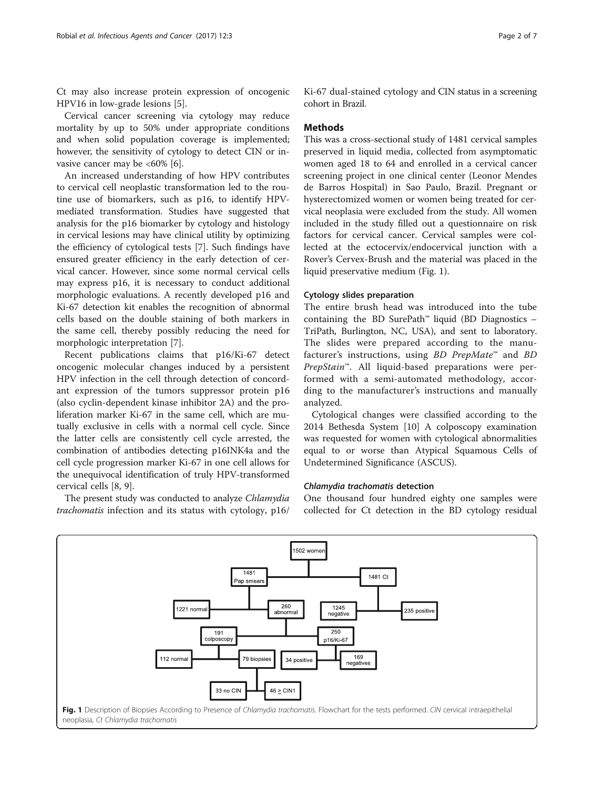Ct may also increase protein expression of oncogenic HPV16 in low-grade lesions [\[5](#page-6-0)].

Cervical cancer screening via cytology may reduce mortality by up to 50% under appropriate conditions and when solid population coverage is implemented; however, the sensitivity of cytology to detect CIN or invasive cancer may be  $<60\%$  [\[6\]](#page-6-0).

An increased understanding of how HPV contributes to cervical cell neoplastic transformation led to the routine use of biomarkers, such as p16, to identify HPVmediated transformation. Studies have suggested that analysis for the p16 biomarker by cytology and histology in cervical lesions may have clinical utility by optimizing the efficiency of cytological tests [[7](#page-6-0)]. Such findings have ensured greater efficiency in the early detection of cervical cancer. However, since some normal cervical cells may express p16, it is necessary to conduct additional morphologic evaluations. A recently developed p16 and Ki-67 detection kit enables the recognition of abnormal cells based on the double staining of both markers in the same cell, thereby possibly reducing the need for morphologic interpretation [\[7\]](#page-6-0).

Recent publications claims that p16/Ki-67 detect oncogenic molecular changes induced by a persistent HPV infection in the cell through detection of concordant expression of the tumors suppressor protein p16 (also cyclin-dependent kinase inhibitor 2A) and the proliferation marker Ki-67 in the same cell, which are mutually exclusive in cells with a normal cell cycle. Since the latter cells are consistently cell cycle arrested, the combination of antibodies detecting p16INK4a and the cell cycle progression marker Ki-67 in one cell allows for the unequivocal identification of truly HPV-transformed cervical cells [[8, 9\]](#page-6-0).

The present study was conducted to analyze Chlamydia trachomatis infection and its status with cytology, p16/

# **Methods**

This was a cross-sectional study of 1481 cervical samples preserved in liquid media, collected from asymptomatic women aged 18 to 64 and enrolled in a cervical cancer screening project in one clinical center (Leonor Mendes de Barros Hospital) in Sao Paulo, Brazil. Pregnant or hysterectomized women or women being treated for cervical neoplasia were excluded from the study. All women included in the study filled out a questionnaire on risk factors for cervical cancer. Cervical samples were collected at the ectocervix/endocervical junction with a Rover's Cervex-Brush and the material was placed in the liquid preservative medium (Fig. 1).

# Cytology slides preparation

The entire brush head was introduced into the tube containing the BD SurePath™ liquid (BD Diagnostics  $-$ TriPath, Burlington, NC, USA), and sent to laboratory. The slides were prepared according to the manufacturer's instructions, using  $BD$  PrepMate<sup>™</sup> and  $BD$ PrepStain™. All liquid-based preparations were performed with a semi-automated methodology, according to the manufacturer's instructions and manually analyzed.

Cytological changes were classified according to the 2014 Bethesda System [[10\]](#page-6-0) A colposcopy examination was requested for women with cytological abnormalities equal to or worse than Atypical Squamous Cells of Undetermined Significance (ASCUS).

# Chlamydia trachomatis detection

One thousand four hundred eighty one samples were collected for Ct detection in the BD cytology residual

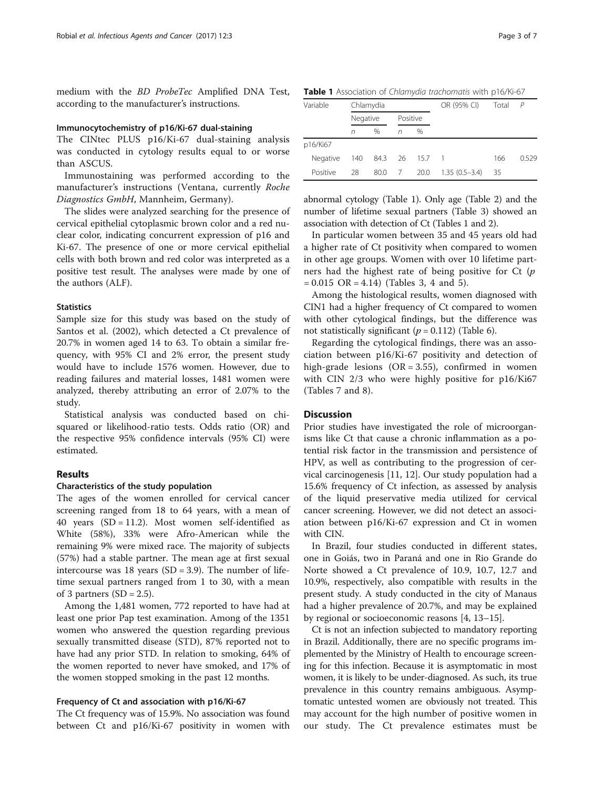medium with the BD ProbeTec Amplified DNA Test, according to the manufacturer's instructions.

#### Immunocytochemistry of p16/Ki-67 dual-staining

The CINtec PLUS p16/Ki-67 dual-staining analysis was conducted in cytology results equal to or worse than ASCUS.

Immunostaining was performed according to the manufacturer's instructions (Ventana, currently Roche Diagnostics GmbH, Mannheim, Germany).

The slides were analyzed searching for the presence of cervical epithelial cytoplasmic brown color and a red nuclear color, indicating concurrent expression of p16 and Ki-67. The presence of one or more cervical epithelial cells with both brown and red color was interpreted as a positive test result. The analyses were made by one of the authors (ALF).

## **Statistics**

Sample size for this study was based on the study of Santos et al. (2002), which detected a Ct prevalence of 20.7% in women aged 14 to 63. To obtain a similar frequency, with 95% CI and 2% error, the present study would have to include 1576 women. However, due to reading failures and material losses, 1481 women were analyzed, thereby attributing an error of 2.07% to the study.

Statistical analysis was conducted based on chisquared or likelihood-ratio tests. Odds ratio (OR) and the respective 95% confidence intervals (95% CI) were estimated.

# Results

#### Characteristics of the study population

The ages of the women enrolled for cervical cancer screening ranged from 18 to 64 years, with a mean of 40 years (SD = 11.2). Most women self-identified as White (58%), 33% were Afro-American while the remaining 9% were mixed race. The majority of subjects (57%) had a stable partner. The mean age at first sexual intercourse was 18 years  $(SD = 3.9)$ . The number of lifetime sexual partners ranged from 1 to 30, with a mean of 3 partners  $(SD = 2.5)$ .

Among the 1,481 women, 772 reported to have had at least one prior Pap test examination. Among of the 1351 women who answered the question regarding previous sexually transmitted disease (STD), 87% reported not to have had any prior STD. In relation to smoking, 64% of the women reported to never have smoked, and 17% of the women stopped smoking in the past 12 months.

## Frequency of Ct and association with p16/Ki-67

The Ct frequency was of 15.9%. No association was found between Ct and p16/Ki-67 positivity in women with

Table 1 Association of Chlamydia trachomatis with p16/Ki-67

| Variable | Chlamydia |          |   |          | OR (95% CI)     | Total | $\mathcal{P}$ |
|----------|-----------|----------|---|----------|-----------------|-------|---------------|
|          |           | Negative |   | Positive |                 |       |               |
|          | n         | $\%$     | n | $\%$     |                 |       |               |
| p16/Ki67 |           |          |   |          |                 |       |               |
| Negative | 140       | 84.3 26  |   | 15.7     | $\blacksquare$  | 166   | 0.529         |
| Positive | 28        | 80.0     | 7 | 20.0     | $1.35(0.5-3.4)$ | 35    |               |

abnormal cytology (Table 1). Only age (Table [2](#page-3-0)) and the number of lifetime sexual partners (Table [3](#page-3-0)) showed an association with detection of Ct (Tables 1 and [2\)](#page-3-0).

In particular women between 35 and 45 years old had a higher rate of Ct positivity when compared to women in other age groups. Women with over 10 lifetime partners had the highest rate of being positive for Ct  $(p)$  $= 0.015 \text{ OR } = 4.14$  $= 0.015 \text{ OR } = 4.14$  $= 0.015 \text{ OR } = 4.14$ ) (Tables [3](#page-3-0), 4 and [5\)](#page-4-0).

Among the histological results, women diagnosed with CIN1 had a higher frequency of Ct compared to women with other cytological findings, but the difference was not statistically significant ( $p = 0.112$ ) (Table [6](#page-4-0)).

Regarding the cytological findings, there was an association between p16/Ki-67 positivity and detection of high-grade lesions  $(OR = 3.55)$ , confirmed in women with CIN 2/3 who were highly positive for p16/Ki67 (Tables [7](#page-4-0) and [8\)](#page-5-0).

# **Discussion**

Prior studies have investigated the role of microorganisms like Ct that cause a chronic inflammation as a potential risk factor in the transmission and persistence of HPV, as well as contributing to the progression of cervical carcinogenesis [\[11](#page-6-0), [12](#page-6-0)]. Our study population had a 15.6% frequency of Ct infection, as assessed by analysis of the liquid preservative media utilized for cervical cancer screening. However, we did not detect an association between p16/Ki-67 expression and Ct in women with CIN.

In Brazil, four studies conducted in different states, one in Goiás, two in Paraná and one in Rio Grande do Norte showed a Ct prevalence of 10.9, 10.7, 12.7 and 10.9%, respectively, also compatible with results in the present study. A study conducted in the city of Manaus had a higher prevalence of 20.7%, and may be explained by regional or socioeconomic reasons [\[4, 13](#page-6-0)–[15\]](#page-6-0).

Ct is not an infection subjected to mandatory reporting in Brazil. Additionally, there are no specific programs implemented by the Ministry of Health to encourage screening for this infection. Because it is asymptomatic in most women, it is likely to be under-diagnosed. As such, its true prevalence in this country remains ambiguous. Asymptomatic untested women are obviously not treated. This may account for the high number of positive women in our study. The Ct prevalence estimates must be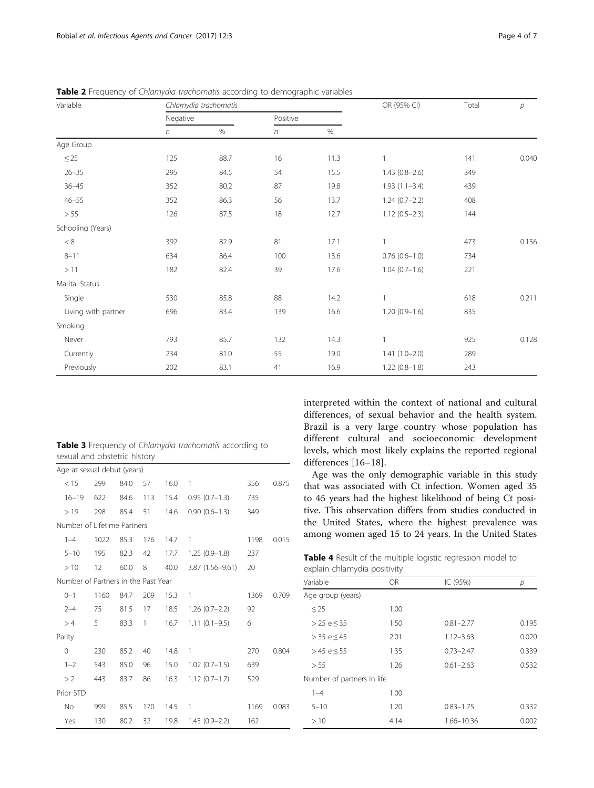| Variable            |            | Chlamydia trachomatis |          | OR (95% CI) | Total           | $\overline{p}$ |       |
|---------------------|------------|-----------------------|----------|-------------|-----------------|----------------|-------|
|                     | Negative   |                       | Positive |             |                 |                |       |
|                     | $\sqrt{n}$ | $\%$                  | $\eta$   | %           |                 |                |       |
| Age Group           |            |                       |          |             |                 |                |       |
| $\leq$ 25           | 125        | 88.7                  | 16       | 11.3        |                 | 141            | 0.040 |
| $26 - 35$           | 295        | 84.5                  | 54       | 15.5        | $1.43(0.8-2.6)$ | 349            |       |
| $36 - 45$           | 352        | 80.2                  | 87       | 19.8        | $1.93(1.1-3.4)$ | 439            |       |
| $46 - 55$           | 352        | 86.3                  | 56       | 13.7        | $1.24(0.7-2.2)$ | 408            |       |
| > 55                | 126        | 87.5                  | 18       | 12.7        | $1.12(0.5-2.3)$ | 144            |       |
| Schooling (Years)   |            |                       |          |             |                 |                |       |
| $< 8\,$             | 392        | 82.9                  | 81       | 17.1        |                 | 473            | 0.156 |
| $8 - 11$            | 634        | 86.4                  | 100      | 13.6        | $0.76(0.6-1.0)$ | 734            |       |
| >11                 | 182        | 82.4                  | 39       | 17.6        | $1.04(0.7-1.6)$ | 221            |       |
| Marital Status      |            |                       |          |             |                 |                |       |
| Single              | 530        | 85.8                  | 88       | 14.2        |                 | 618            | 0.211 |
| Living with partner | 696        | 83.4                  | 139      | 16.6        | $1.20(0.9-1.6)$ | 835            |       |
| Smoking             |            |                       |          |             |                 |                |       |
| Never               | 793        | 85.7                  | 132      | 14.3        |                 | 925            | 0.128 |
| Currently           | 234        | 81.0                  | 55       | 19.0        | $1.41(1.0-2.0)$ | 289            |       |
| Previously          | 202        | 83.1                  | 41       | 16.9        | $1.22(0.8-1.8)$ | 243            |       |

<span id="page-3-0"></span>Table 2 Frequency of Chlamydia trachomatis according to demographic variables

| <b>Table 3</b> Frequency of Chlamydia trachomatis according to |  |  |
|----------------------------------------------------------------|--|--|
| sexual and obstetric history                                   |  |  |

| Age at sexual debut (years)         |      |      |     |      |                   |      |       |
|-------------------------------------|------|------|-----|------|-------------------|------|-------|
| < 15                                | 299  | 84.0 | 57  | 16.0 | 1                 | 356  | 0.875 |
| $16 - 19$                           | 622  | 84.6 | 113 | 15.4 | $0.95(0.7-1.3)$   | 735  |       |
| >19                                 | 298  | 85.4 | 51  | 14.6 | $0.90(0.6 - 1.3)$ | 349  |       |
| Number of Lifetime Partners         |      |      |     |      |                   |      |       |
| $1 - 4$                             | 1022 | 85.3 | 176 | 14.7 | 1                 | 1198 | 0.015 |
| $5 - 10$                            | 195  | 82.3 | 42  | 17.7 | $1.25(0.9-1.8)$   | 237  |       |
| >10                                 | 12   | 60.0 | 8   | 40.0 | 3.87 (1.56-9.61)  | 20   |       |
| Number of Partners in the Past Year |      |      |     |      |                   |      |       |
| $0 - 1$                             | 1160 | 84.7 | 209 | 15.3 | 1                 | 1369 | 0.709 |
| $2 - 4$                             | 75   | 81.5 | 17  | 18.5 | $1.26(0.7-2.2)$   | 92   |       |
| >4                                  | 5    | 83.3 | 1   | 16.7 | $1.11(0.1-9.5)$   | 6    |       |
| Parity                              |      |      |     |      |                   |      |       |
| 0                                   | 230  | 85.2 | 40  | 14.8 | 1                 | 270  | 0.804 |
| $1 - 2$                             | 543  | 85.0 | 96  | 15.0 | $1.02(0.7-1.5)$   | 639  |       |
| >2                                  | 443  | 83.7 | 86  | 16.3 | $1.12(0.7-1.7)$   | 529  |       |
| Prior STD                           |      |      |     |      |                   |      |       |
| <b>No</b>                           | 999  | 85.5 | 170 | 14.5 | 1                 | 1169 | 0.083 |
| Yes                                 | 130  | 80.2 | 32  | 19.8 | $1.45(0.9-2.2)$   | 162  |       |

interpreted within the context of national and cultural differences, of sexual behavior and the health system. Brazil is a very large country whose population has different cultural and socioeconomic development levels, which most likely explains the reported regional differences [[16](#page-6-0)–[18\]](#page-6-0).

Age was the only demographic variable in this study that was associated with Ct infection. Women aged 35 to 45 years had the highest likelihood of being Ct positive. This observation differs from studies conducted in the United States, where the highest prevalence was among women aged 15 to 24 years. In the United States

| Table 4 Result of the multiple logistic regression model to |  |  |  |
|-------------------------------------------------------------|--|--|--|
| explain chlamydia positivity                                |  |  |  |

| Variable                   | OR.  | IC (95%)      | р     |
|----------------------------|------|---------------|-------|
|                            |      |               |       |
| Age group (years)          |      |               |       |
| $\leq$ 25                  | 1.00 |               |       |
| > 25 e < 35                | 1.50 | $0.81 - 2.77$ | 0.195 |
| > 35 e < 45                | 2.01 | $1.12 - 3.63$ | 0.020 |
| $> 45 e \le 55$            | 1.35 | $0.73 - 2.47$ | 0.339 |
| > 55                       | 1.26 | $0.61 - 2.63$ | 0.532 |
| Number of partners in life |      |               |       |
| $1 - 4$                    | 1.00 |               |       |
| $5 - 10$                   | 1.20 | $0.83 - 1.75$ | 0.332 |
| >10                        | 4.14 | 1.66-10.36    | 0.002 |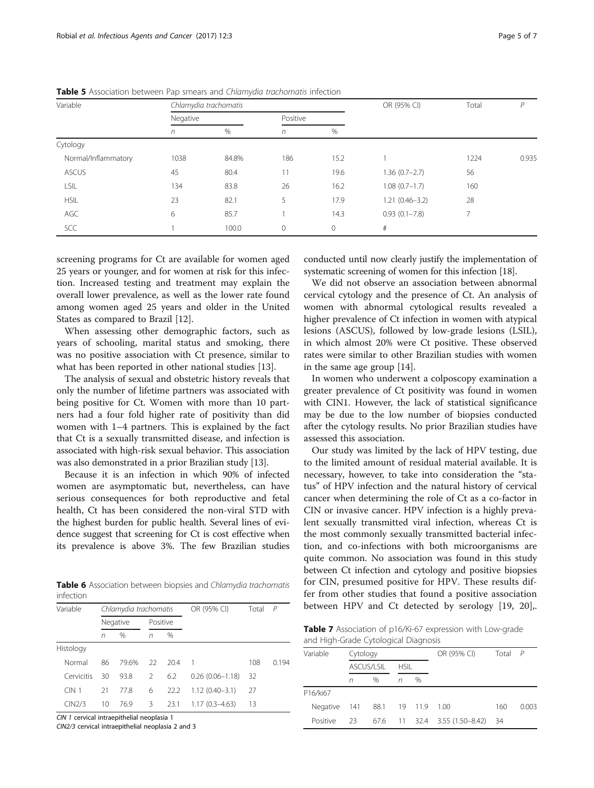| Variable            |          | Chlamydia trachomatis |              | OR (95% CI) | Total              | P    |       |
|---------------------|----------|-----------------------|--------------|-------------|--------------------|------|-------|
|                     | Negative |                       | Positive     |             |                    |      |       |
|                     | n        | $\%$                  | $\sqrt{n}$   | %           |                    |      |       |
| Cytology            |          |                       |              |             |                    |      |       |
| Normal/Inflammatory | 1038     | 84.8%                 | 186          | 15.2        |                    | 1224 | 0.935 |
| <b>ASCUS</b>        | 45       | 80.4                  | 11           | 19.6        | $1.36(0.7-2.7)$    | 56   |       |
| LSIL                | 134      | 83.8                  | 26           | 16.2        | $1.08(0.7-1.7)$    | 160  |       |
| <b>HSIL</b>         | 23       | 82.1                  | 5            | 17.9        | $1.21(0.46 - 3.2)$ | 28   |       |
| AGC                 | 6        | 85.7                  |              | 14.3        | $0.93(0.1 - 7.8)$  | 7    |       |
| <b>SCC</b>          |          | 100.0                 | $\mathbf{0}$ | $\circ$     | #                  |      |       |

<span id="page-4-0"></span>Table 5 Association between Pap smears and Chlamydia trachomatis infection

screening programs for Ct are available for women aged 25 years or younger, and for women at risk for this infection. Increased testing and treatment may explain the overall lower prevalence, as well as the lower rate found among women aged 25 years and older in the United States as compared to Brazil [[12\]](#page-6-0).

When assessing other demographic factors, such as years of schooling, marital status and smoking, there was no positive association with Ct presence, similar to what has been reported in other national studies [[13\]](#page-6-0).

The analysis of sexual and obstetric history reveals that only the number of lifetime partners was associated with being positive for Ct. Women with more than 10 partners had a four fold higher rate of positivity than did women with 1–4 partners. This is explained by the fact that Ct is a sexually transmitted disease, and infection is associated with high-risk sexual behavior. This association was also demonstrated in a prior Brazilian study [[13](#page-6-0)].

Because it is an infection in which 90% of infected women are asymptomatic but, nevertheless, can have serious consequences for both reproductive and fetal health, Ct has been considered the non-viral STD with the highest burden for public health. Several lines of evidence suggest that screening for Ct is cost effective when its prevalence is above 3%. The few Brazilian studies

Table 6 Association between biopsies and Chlamydia trachomatis infection

| Variable   |          | Chlamydia trachomatis |          |      | OR (95% CI)         | Total | $\overline{P}$ |
|------------|----------|-----------------------|----------|------|---------------------|-------|----------------|
|            | Negative |                       | Positive |      |                     |       |                |
|            | n        | $\%$                  | n        | $\%$ |                     |       |                |
| Histology  |          |                       |          |      |                     |       |                |
| Normal     | 86       | 79.6%                 | $22$     | 20.4 | -1                  | 108   | 0194           |
| Cervicitis | 30       | 93.8                  | 2        | 6.2  | $0.26(0.06 - 1.18)$ | 32    |                |
| $CIN$ 1    | 21       | 778                   | 6        | 22.2 | $1.12(0.40 - 3.1)$  | -27   |                |
| CIN2/3     | 10       | 76.9                  | 3        | 23.1 | $1.17(0.3 - 4.63)$  | 13    |                |

CIN 1 cervical intraepithelial neoplasia 1

CIN2/3 cervical intraepithelial neoplasia 2 and 3

conducted until now clearly justify the implementation of systematic screening of women for this infection [[18\]](#page-6-0).

We did not observe an association between abnormal cervical cytology and the presence of Ct. An analysis of women with abnormal cytological results revealed a higher prevalence of Ct infection in women with atypical lesions (ASCUS), followed by low-grade lesions (LSIL), in which almost 20% were Ct positive. These observed rates were similar to other Brazilian studies with women in the same age group [[14\]](#page-6-0).

In women who underwent a colposcopy examination a greater prevalence of Ct positivity was found in women with CIN1. However, the lack of statistical significance may be due to the low number of biopsies conducted after the cytology results. No prior Brazilian studies have assessed this association.

Our study was limited by the lack of HPV testing, due to the limited amount of residual material available. It is necessary, however, to take into consideration the "status" of HPV infection and the natural history of cervical cancer when determining the role of Ct as a co-factor in CIN or invasive cancer. HPV infection is a highly prevalent sexually transmitted viral infection, whereas Ct is the most commonly sexually transmitted bacterial infection, and co-infections with both microorganisms are quite common. No association was found in this study between Ct infection and cytology and positive biopsies for CIN, presumed positive for HPV. These results differ from other studies that found a positive association between HPV and Ct detected by serology [\[19](#page-6-0), [20\]](#page-6-0),.

Table 7 Association of p16/Ki-67 expression with Low-grade and High-Grade Cytological Diagnosis

| and ringer Grade Cytological Diagnosis |            |      |             |         |                               |       |              |
|----------------------------------------|------------|------|-------------|---------|-------------------------------|-------|--------------|
| Variable                               | Cytology   |      |             |         | OR (95% CI)                   | Total | $\mathsf{P}$ |
|                                        | ASCUS/LSIL |      | <b>HSIL</b> |         |                               |       |              |
|                                        | n          | $\%$ | n           | $\%$    |                               |       |              |
| P16/ki67                               |            |      |             |         |                               |       |              |
| Negative                               | 141        | 88.1 |             | 19 11.9 | 1.00                          | 160   | 0.003        |
| Positive                               | 23         |      |             |         | 67.6 11 32.4 3.55 (1.50-8.42) | - 34  |              |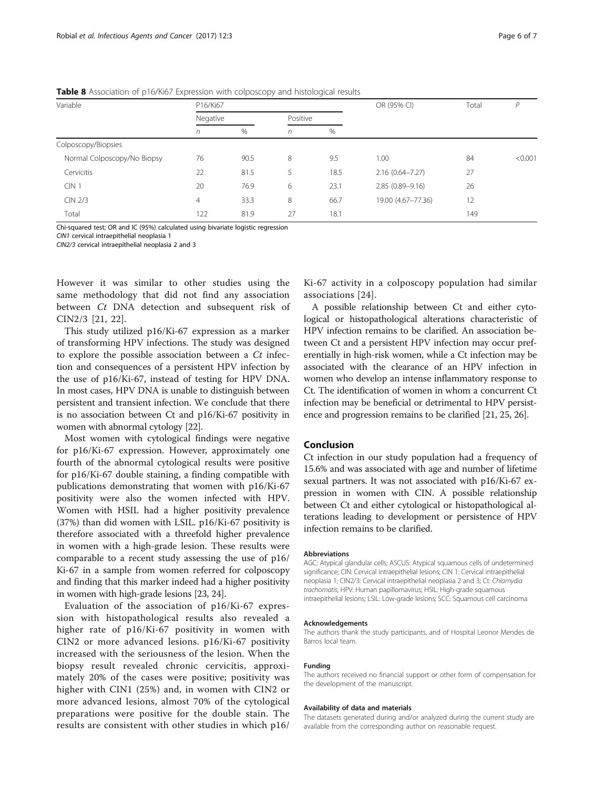| Variable                    | P16/Ki67 |      |          |      | OR (95% CI)         | Total | D       |
|-----------------------------|----------|------|----------|------|---------------------|-------|---------|
|                             | Negative |      | Positive |      |                     |       |         |
|                             | n        | $\%$ | n        | %    |                     |       |         |
| Colposcopy/Biopsies         |          |      |          |      |                     |       |         |
| Normal Colposcopy/No Biopsy | 76       | 90.5 | 8        | 9.5  | 1.00                | 84    | < 0.001 |
| Cervicitis                  | 22       | 81.5 | 5        | 18.5 | $2.16(0.64 - 7.27)$ | 27    |         |
| CIN <sub>1</sub>            | 20       | 76.9 | 6        | 23.1 | $2.85(0.89 - 9.16)$ | 26    |         |
| CIN 2/3                     | 4        | 33.3 | 8        | 66.7 | 19.00 (4.67-77.36)  | 12    |         |
| Total                       | 122      | 81.9 | 27       | 18.1 |                     | 149   |         |

<span id="page-5-0"></span>**Table 8** Association of p16/Ki67 Expression with colposcopy and histological results

Chi-squared test; OR and IC (95%) calculated using bivariate logistic regression

CIN1 cervical intraepithelial neoplasia 1 CIN2/3 cervical intraepithelial neoplasia 2 and 3

However it was similar to other studies using the same methodology that did not find any association between *Ct* DNA detection and subsequent risk of

CIN2/3 [\[21](#page-6-0), [22](#page-6-0)]. This study utilized p16/Ki-67 expression as a marker of transforming HPV infections. The study was designed to explore the possible association between a Ct infection and consequences of a persistent HPV infection by the use of p16/Ki-67, instead of testing for HPV DNA. In most cases, HPV DNA is unable to distinguish between persistent and transient infection. We conclude that there is no association between Ct and p16/Ki-67 positivity in women with abnormal cytology [[22](#page-6-0)].

Most women with cytological findings were negative for p16/Ki-67 expression. However, approximately one fourth of the abnormal cytological results were positive for p16/Ki-67 double staining, a finding compatible with publications demonstrating that women with p16/Ki-67 positivity were also the women infected with HPV. Women with HSIL had a higher positivity prevalence (37%) than did women with LSIL. p16/Ki-67 positivity is therefore associated with a threefold higher prevalence in women with a high-grade lesion. These results were comparable to a recent study assessing the use of p16/ Ki-67 in a sample from women referred for colposcopy and finding that this marker indeed had a higher positivity in women with high-grade lesions [[23](#page-6-0), [24\]](#page-6-0).

Evaluation of the association of p16/Ki-67 expression with histopathological results also revealed a higher rate of p16/Ki-67 positivity in women with CIN2 or more advanced lesions. p16/Ki-67 positivity increased with the seriousness of the lesion. When the biopsy result revealed chronic cervicitis, approximately 20% of the cases were positive; positivity was higher with CIN1 (25%) and, in women with CIN2 or more advanced lesions, almost 70% of the cytological preparations were positive for the double stain. The results are consistent with other studies in which p16/

Ki-67 activity in a colposcopy population had similar associations [[24](#page-6-0)].

A possible relationship between Ct and either cytological or histopathological alterations characteristic of HPV infection remains to be clarified. An association between Ct and a persistent HPV infection may occur preferentially in high-risk women, while a Ct infection may be associated with the clearance of an HPV infection in women who develop an intense inflammatory response to Ct. The identification of women in whom a concurrent Ct infection may be beneficial or detrimental to HPV persistence and progression remains to be clarified [[21, 25, 26](#page-6-0)].

# Conclusion

Ct infection in our study population had a frequency of 15.6% and was associated with age and number of lifetime sexual partners. It was not associated with p16/Ki-67 expression in women with CIN. A possible relationship between Ct and either cytological or histopathological alterations leading to development or persistence of HPV infection remains to be clarified.

#### Abbreviations

AGC: Atypical glandular cells; ASCUS: Atypical squamous cells of undetermined significance; CIN: Cervical intraepithelial lesions; CIN 1: Cervical intraepithelial neoplasia 1; CIN2/3: Cervical intraepithelial neoplasia 2 and 3; Ct: Chlamydia trachomatis; HPV: Human papillomavirus; HSIL: High-grade squamous intraepithelial lesions; LSIL: Low-grade lesions; SCC: Squamous cell carcinoma

#### Acknowledgements

The authors thank the study participants, and of Hospital Leonor Mendes de Barros local team.

#### Funding

The authors received no financial support or other form of compensation for the development of the manuscript.

#### Availability of data and materials

The datasets generated during and/or analyzed during the current study are available from the corresponding author on reasonable request.